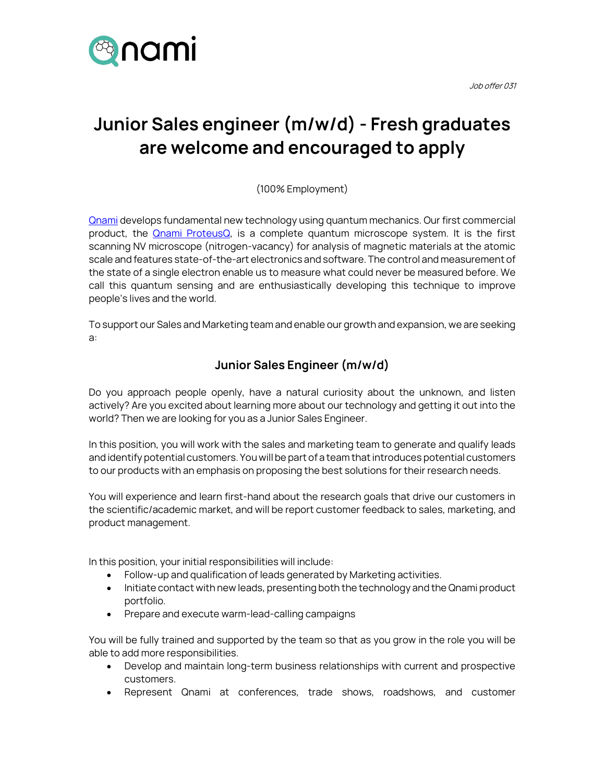

Job offer 031

## **Junior Sales engineer (m/w/d) - Fresh graduates are welcome and encouraged to apply**

(100% Employment)

[Qnami](https://qnami.ch/) develops fundamental new technology using quantum mechanics. Our first commercial product, the **Qnami ProteusQ**, is a complete quantum microscope system. It is the first scanning NV microscope (nitrogen-vacancy) for analysis of magnetic materials at the atomic scale and features state-of-the-art electronics and software. The control and measurement of the state of a single electron enable us to measure what could never be measured before. We call this quantum sensing and are enthusiastically developing this technique to improve people's lives and the world.

To support our Sales and Marketing team and enable our growth and expansion, we are seeking a:

## **Junior Sales Engineer (m/w/d)**

Do you approach people openly, have a natural curiosity about the unknown, and listen actively? Are you excited about learning more about our technology and getting it out into the world? Then we are looking for you as a Junior Sales Engineer.

In this position, you will work with the sales and marketing team to generate and qualify leads and identify potential customers. You will be part of a team that introduces potential customers to our products with an emphasis on proposing the best solutions for their research needs.

You will experience and learn first-hand about the research goals that drive our customers in the scientific/academic market, and will be report customer feedback to sales, marketing, and product management.

In this position, your initial responsibilities will include:

- Follow-up and qualification of leads generated by Marketing activities.
- Initiate contact with new leads, presenting both the technology and the Qnami product portfolio.
- Prepare and execute warm-lead-calling campaigns

You will be fully trained and supported by the team so that as you grow in the role you will be able to add more responsibilities.

- Develop and maintain long-term business relationships with current and prospective customers.
- Represent Qnami at conferences, trade shows, roadshows, and customer